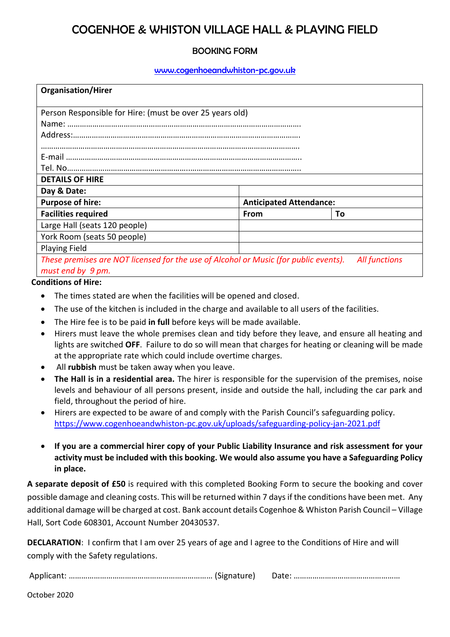## COGENHOE & WHISTON VILLAGE HALL & PLAYING FIELD

### BOOKING FORM

#### [www.cogenhoeandwhiston-pc.gov.uk](http://www.cogenhoeandwhiston-pc.gov.uk/)

| <b>Organisation/Hirer</b>                                                                                    |                                |    |  |
|--------------------------------------------------------------------------------------------------------------|--------------------------------|----|--|
| Person Responsible for Hire: (must be over 25 years old)                                                     |                                |    |  |
|                                                                                                              |                                |    |  |
|                                                                                                              |                                |    |  |
|                                                                                                              |                                |    |  |
|                                                                                                              |                                |    |  |
|                                                                                                              |                                |    |  |
| <b>DETAILS OF HIRE</b>                                                                                       |                                |    |  |
| Day & Date:                                                                                                  |                                |    |  |
| <b>Purpose of hire:</b>                                                                                      | <b>Anticipated Attendance:</b> |    |  |
| <b>Facilities required</b>                                                                                   | From                           | Τo |  |
| Large Hall (seats 120 people)                                                                                |                                |    |  |
| York Room (seats 50 people)                                                                                  |                                |    |  |
| <b>Playing Field</b>                                                                                         |                                |    |  |
| These premises are NOT licensed for the use of Alcohol or Music (for public events).<br><b>All functions</b> |                                |    |  |
| must end by 9 pm.                                                                                            |                                |    |  |

#### **Conditions of Hire:**

- The times stated are when the facilities will be opened and closed.
- The use of the kitchen is included in the charge and available to all users of the facilities.
- The Hire fee is to be paid **in full** before keys will be made available.
- Hirers must leave the whole premises clean and tidy before they leave, and ensure all heating and lights are switched **OFF**. Failure to do so will mean that charges for heating or cleaning will be made at the appropriate rate which could include overtime charges.
- All **rubbish** must be taken away when you leave.
- **The Hall is in a residential area.** The hirer is responsible for the supervision of the premises, noise levels and behaviour of all persons present, inside and outside the hall, including the car park and field, throughout the period of hire.
- Hirers are expected to be aware of and comply with the Parish Council's safeguarding policy. <https://www.cogenhoeandwhiston-pc.gov.uk/uploads/safeguarding-policy-jan-2021.pdf>
- **If you are a commercial hirer copy of your Public Liability Insurance and risk assessment for your activity must be included with this booking. We would also assume you have a Safeguarding Policy in place.**

**A separate deposit of £50** is required with this completed Booking Form to secure the booking and cover possible damage and cleaning costs. This will be returned within 7 days if the conditions have been met. Any additional damage will be charged at cost. Bank account details Cogenhoe & Whiston Parish Council – Village Hall, Sort Code 608301, Account Number 20430537.

**DECLARATION**: I confirm that I am over 25 years of age and I agree to the Conditions of Hire and will comply with the Safety regulations.

Applicant: …………………………………………………………… (Signature) Date: ……………………………………………

October 2020